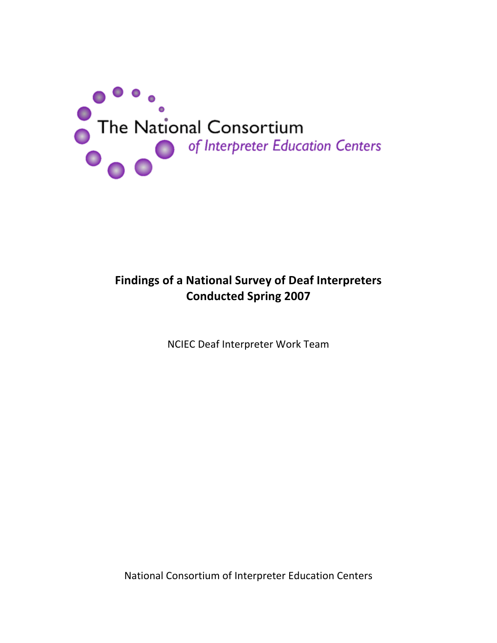

# **Findings of a National Survey of Deaf Interpreters Conducted Spring 2007**

NCIEC Deaf Interpreter Work Team

National Consortium of Interpreter Education Centers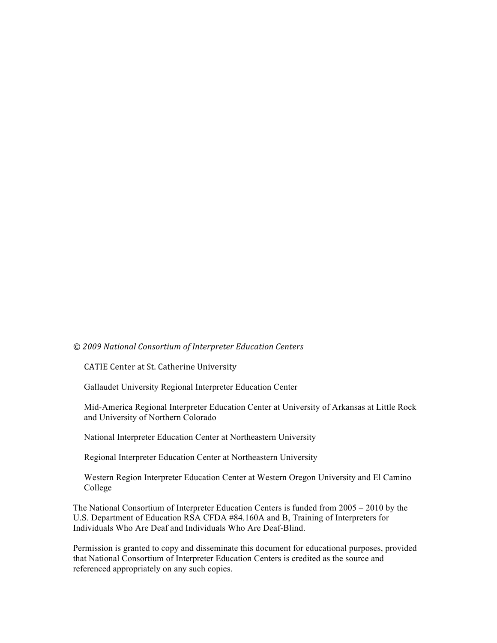#### $\oslash$  2009 National Consortium of Interpreter Education Centers

CATIE Center at St. Catherine University

Gallaudet University Regional Interpreter Education Center

Mid-America Regional Interpreter Education Center at University of Arkansas at Little Rock and University of Northern Colorado

National Interpreter Education Center at Northeastern University

Regional Interpreter Education Center at Northeastern University

Western Region Interpreter Education Center at Western Oregon University and El Camino College

The National Consortium of Interpreter Education Centers is funded from 2005 – 2010 by the U.S. Department of Education RSA CFDA #84.160A and B, Training of Interpreters for Individuals Who Are Deaf and Individuals Who Are Deaf-Blind.

Permission is granted to copy and disseminate this document for educational purposes, provided that National Consortium of Interpreter Education Centers is credited as the source and referenced appropriately on any such copies.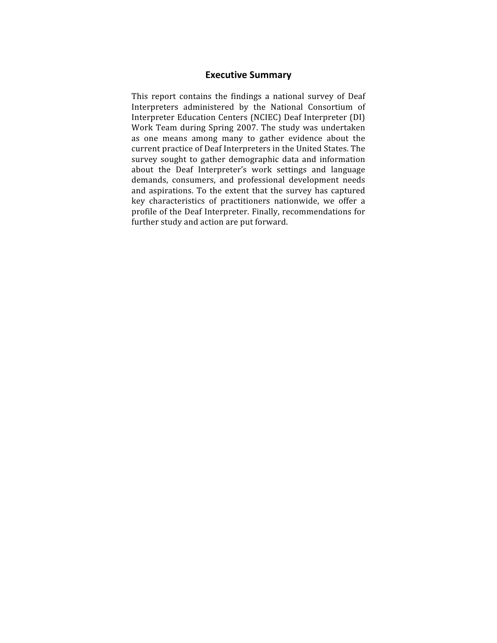#### **Executive Summary**

This report contains the findings a national survey of Deaf Interpreters administered by the National Consortium of Interpreter Education Centers (NCIEC) Deaf Interpreter (DI) Work Team during Spring 2007. The study was undertaken as one means among many to gather evidence about the current practice of Deaf Interpreters in the United States. The survey sought to gather demographic data and information about the Deaf Interpreter's work settings and language demands, consumers, and professional development needs and aspirations. To the extent that the survey has captured key characteristics of practitioners nationwide, we offer a profile of the Deaf Interpreter. Finally, recommendations for further study and action are put forward.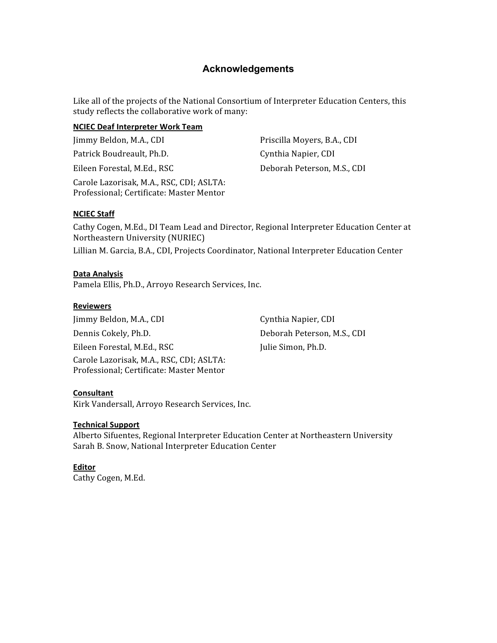# **Acknowledgements**

Like all of the projects of the National Consortium of Interpreter Education Centers, this study reflects the collaborative work of many:

#### **NCIEC Deaf Interpreter Work Team**

Jimmy Beldon, M.A., CDI Patrick Boudreault, Ph.D.

Eileen Forestal, M.Ed., RSC

Carole Lazorisak, M.A., RSC, CDI; ASLTA: Professional; Certificate: Master Mentor

Priscilla Moyers, B.A., CDI Cynthia Napier, CDI Deborah Peterson, M.S., CDI

#### **NCIEC Staff**

Cathy Cogen, M.Ed., DI Team Lead and Director, Regional Interpreter Education Center at Northeastern University (NURIEC)

Lillian M. Garcia, B.A., CDI, Projects Coordinator, National Interpreter Education Center

#### **Data Analysis**

Pamela Ellis, Ph.D., Arroyo Research Services, Inc.

#### **Reviewers**

Jimmy Beldon, M.A., CDI Dennis Cokely, Ph.D. Eileen Forestal, M.Ed., RSC Carole Lazorisak, M.A., RSC, CDI; ASLTA: Professional; Certificate: Master Mentor

Cynthia Napier, CDI Deborah Peterson, M.S., CDI Julie Simon, Ph.D.

#### Consultant

Kirk Vandersall, Arroyo Research Services, Inc.

#### **Technical Support**

Alberto Sifuentes, Regional Interpreter Education Center at Northeastern University Sarah B. Snow, National Interpreter Education Center

## **Editor**

Cathy Cogen, M.Ed.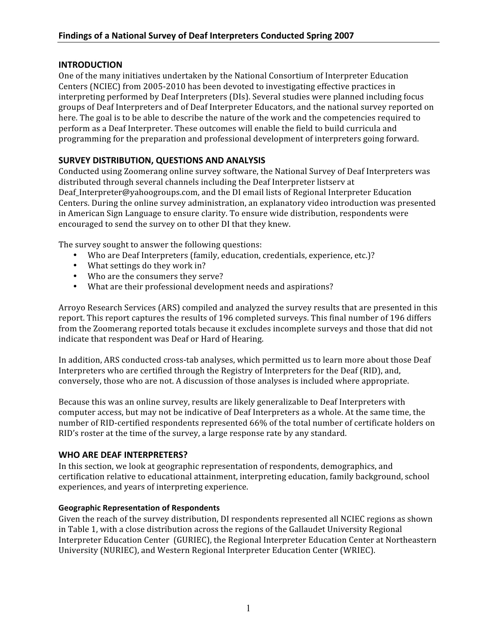# **INTRODUCTION**

One of the many initiatives undertaken by the National Consortium of Interpreter Education Centers (NCIEC) from 2005-2010 has been devoted to investigating effective practices in interpreting performed by Deaf Interpreters (DIs). Several studies were planned including focus groups of Deaf Interpreters and of Deaf Interpreter Educators, and the national survey reported on here. The goal is to be able to describe the nature of the work and the competencies required to perform as a Deaf Interpreter. These outcomes will enable the field to build curricula and programming for the preparation and professional development of interpreters going forward.

# SURVEY DISTRIBUTION, QUESTIONS AND ANALYSIS

Conducted using Zoomerang online survey software, the National Survey of Deaf Interpreters was distributed through several channels including the Deaf Interpreter listserv at Deaf Interpreter@yahoogroups.com, and the DI email lists of Regional Interpreter Education Centers. During the online survey administration, an explanatory video introduction was presented in American Sign Language to ensure clarity. To ensure wide distribution, respondents were encouraged to send the survey on to other DI that they knew.

The survey sought to answer the following questions:

- Who are Deaf Interpreters (family, education, credentials, experience, etc.)?
- What settings do they work in?
- Who are the consumers they serve?
- What are their professional development needs and aspirations?

Arroyo Research Services (ARS) compiled and analyzed the survey results that are presented in this report. This report captures the results of 196 completed surveys. This final number of 196 differs from the Zoomerang reported totals because it excludes incomplete surveys and those that did not indicate that respondent was Deaf or Hard of Hearing.

In addition, ARS conducted cross-tab analyses, which permitted us to learn more about those Deaf Interpreters who are certified through the Registry of Interpreters for the Deaf (RID), and, conversely, those who are not. A discussion of those analyses is included where appropriate.

Because this was an online survey, results are likely generalizable to Deaf Interpreters with computer access, but may not be indicative of Deaf Interpreters as a whole. At the same time, the number of RID-certified respondents represented 66% of the total number of certificate holders on RID's roster at the time of the survey, a large response rate by any standard.

# **WHO ARE DEAF INTERPRETERS?**

In this section, we look at geographic representation of respondents, demographics, and certification relative to educational attainment, interpreting education, family background, school experiences, and years of interpreting experience.

## **Geographic Representation of Respondents**

Given the reach of the survey distribution, DI respondents represented all NCIEC regions as shown in Table 1, with a close distribution across the regions of the Gallaudet University Regional Interpreter Education Center (GURIEC), the Regional Interpreter Education Center at Northeastern University (NURIEC), and Western Regional Interpreter Education Center (WRIEC).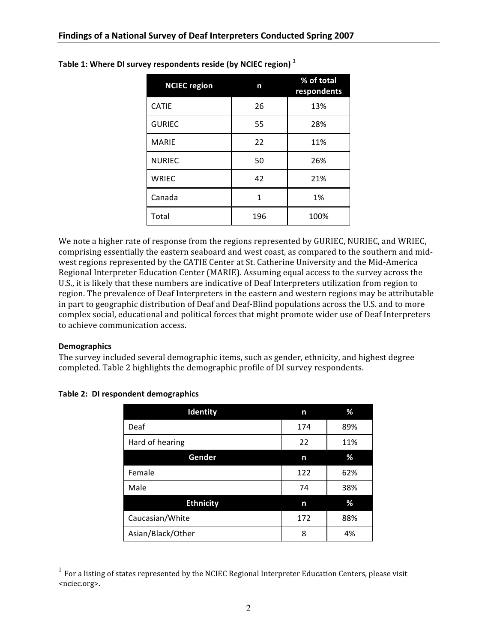| <b>NCIEC</b> region | n   | % of total<br>respondents |
|---------------------|-----|---------------------------|
| <b>CATIE</b>        | 26  | 13%                       |
| <b>GURIEC</b>       | 55  | 28%                       |
| <b>MARIE</b>        | 22  | 11%                       |
| <b>NURIEC</b>       | 50  | 26%                       |
| <b>WRIEC</b>        | 42  | 21%                       |
| Canada              | 1   | 1%                        |
| Total               | 196 | 100%                      |

Table 1: Where DI survey respondents reside (by NCIEC region) $<sup>1</sup>$ </sup>

We note a higher rate of response from the regions represented by GURIEC, NURIEC, and WRIEC, comprising essentially the eastern seaboard and west coast, as compared to the southern and midwest regions represented by the CATIE Center at St. Catherine University and the Mid-America Regional Interpreter Education Center (MARIE). Assuming equal access to the survey across the U.S., it is likely that these numbers are indicative of Deaf Interpreters utilization from region to region. The prevalence of Deaf Interpreters in the eastern and western regions may be attributable in part to geographic distribution of Deaf and Deaf-Blind populations across the U.S. and to more complex social, educational and political forces that might promote wider use of Deaf Interpreters to achieve communication access.

#### **Demographics**

The survey included several demographic items, such as gender, ethnicity, and highest degree completed. Table 2 highlights the demographic profile of DI survey respondents.

| Identity          | n   | ℅   |
|-------------------|-----|-----|
| Deaf              | 174 | 89% |
| Hard of hearing   | 22  | 11% |
| Gender            | n   | %   |
| Female            | 122 | 62% |
| Male              | 74  | 38% |
| <b>Ethnicity</b>  | n   | %   |
| Caucasian/White   | 172 | 88% |
| Asian/Black/Other | 8   | 4%  |

#### Table 2: DI respondent demographics

For a listing of states represented by the NCIEC Regional Interpreter Education Centers, please visit <nciec.org>.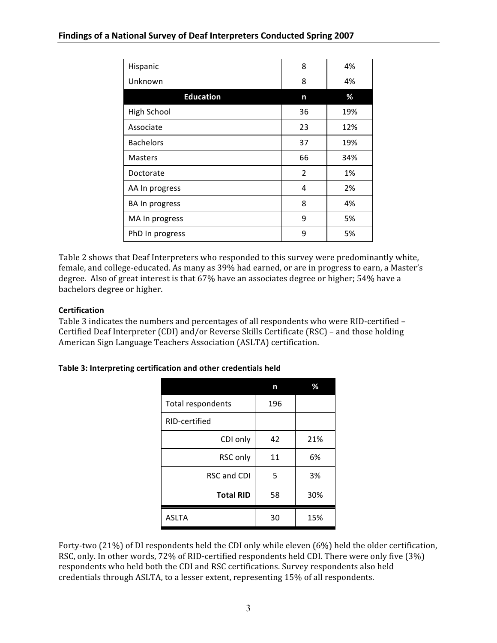| Hispanic         | 8              | 4%  |
|------------------|----------------|-----|
| Unknown          | 8              | 4%  |
| <b>Education</b> | n              | %   |
| High School      | 36             | 19% |
| Associate        | 23             | 12% |
| <b>Bachelors</b> | 37             | 19% |
| <b>Masters</b>   | 66             | 34% |
| Doctorate        | $\overline{2}$ | 1%  |
| AA In progress   | 4              | 2%  |
| BA In progress   | 8              | 4%  |
| MA In progress   | 9              | 5%  |
| PhD In progress  | 9              | 5%  |

Table 2 shows that Deaf Interpreters who responded to this survey were predominantly white, female, and college-educated. As many as 39% had earned, or are in progress to earn, a Master's degree. Also of great interest is that 67% have an associates degree or higher; 54% have a bachelors degree or higher.

# **Certification**

Table 3 indicates the numbers and percentages of all respondents who were RID-certified -Certified Deaf Interpreter (CDI) and/or Reverse Skills Certificate (RSC) - and those holding American Sign Language Teachers Association (ASLTA) certification.

## Table 3: Interpreting certification and other credentials held

|                    | n   | ℅   |
|--------------------|-----|-----|
| Total respondents  | 196 |     |
| RID-certified      |     |     |
| CDI only           | 42  | 21% |
| RSC only           | 11  | 6%  |
| <b>RSC and CDI</b> | 5   | 3%  |
| <b>Total RID</b>   | 58  | 30% |
| <b>ASLTA</b>       | 30  | 15% |

Forty-two (21%) of DI respondents held the CDI only while eleven (6%) held the older certification, RSC, only. In other words, 72% of RID-certified respondents held CDI. There were only five (3%) respondents who held both the CDI and RSC certifications. Survey respondents also held credentials through ASLTA, to a lesser extent, representing 15% of all respondents.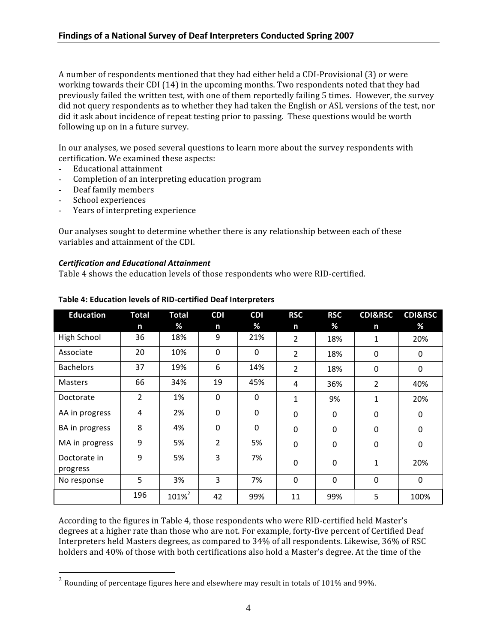A number of respondents mentioned that they had either held a CDI-Provisional (3) or were working towards their CDI (14) in the upcoming months. Two respondents noted that they had previously failed the written test, with one of them reportedly failing 5 times. However, the survey did not query respondents as to whether they had taken the English or ASL versions of the test, nor did it ask about incidence of repeat testing prior to passing. These questions would be worth following up on in a future survey.

In our analyses, we posed several questions to learn more about the survey respondents with certification. We examined these aspects:

- Educational attainment ω.
- Completion of an interpreting education program
- Deaf family members
- School experiences
- Years of interpreting experience

Our analyses sought to determine whether there is any relationship between each of these variables and attainment of the CDI.

#### **Certification and Educational Attainment**

Table 4 shows the education levels of those respondents who were RID-certified.

| <b>Education</b> | <b>Total</b>   | <b>Total</b>      | <b>CDI</b>     | <b>CDI</b> | <b>RSC</b>     | <b>RSC</b>     | <b>CDI&amp;RSC</b> | <b>CDI&amp;RSC</b> |
|------------------|----------------|-------------------|----------------|------------|----------------|----------------|--------------------|--------------------|
|                  | n              | %                 | n              | %          | n              | %              | n                  | %                  |
| High School      | 36             | 18%               | 9              | 21%        | $\overline{2}$ | 18%            | 1                  | 20%                |
| Associate        | 20             | 10%               | $\Omega$       | $\Omega$   | $\overline{2}$ | 18%            | $\mathbf 0$        | 0                  |
| <b>Bachelors</b> | 37             | 19%               | 6              | 14%        | $\overline{2}$ | 18%            | 0                  | 0                  |
| <b>Masters</b>   | 66             | 34%               | 19             | 45%        | 4              | 36%            | 2                  | 40%                |
| Doctorate        | $\overline{2}$ | 1%                | $\Omega$       | $\Omega$   | 1              | 9%             | 1                  | 20%                |
| AA in progress   | 4              | 2%                | 0              | 0          | 0              | 0              | 0                  | $\mathbf 0$        |
| BA in progress   | 8              | 4%                | $\mathbf 0$    | 0          | $\mathbf 0$    | $\overline{0}$ | $\mathbf 0$        | $\Omega$           |
| MA in progress   | 9              | 5%                | $\overline{2}$ | 5%         | 0              | 0              | $\mathbf 0$        | 0                  |
| Doctorate in     | 9              | 5%                | 3              | 7%         | $\mathbf 0$    | 0              | 1                  | 20%                |
| progress         |                |                   |                |            |                |                |                    |                    |
| No response      | 5              | 3%                | 3              | 7%         | $\mathbf 0$    | $\mathbf 0$    | $\mathbf 0$        | $\mathbf 0$        |
|                  | 196            | 101% <sup>2</sup> | 42             | 99%        | 11             | 99%            | 5                  | 100%               |

#### Table 4: Education levels of RID-certified Deaf Interpreters

According to the figures in Table 4, those respondents who were RID-certified held Master's degrees at a higher rate than those who are not. For example, forty-five percent of Certified Deaf Interpreters held Masters degrees, as compared to 34% of all respondents. Likewise, 36% of RSC holders and 40% of those with both certifications also hold a Master's degree. At the time of the

 $2$  Rounding of percentage figures here and elsewhere may result in totals of 101% and 99%.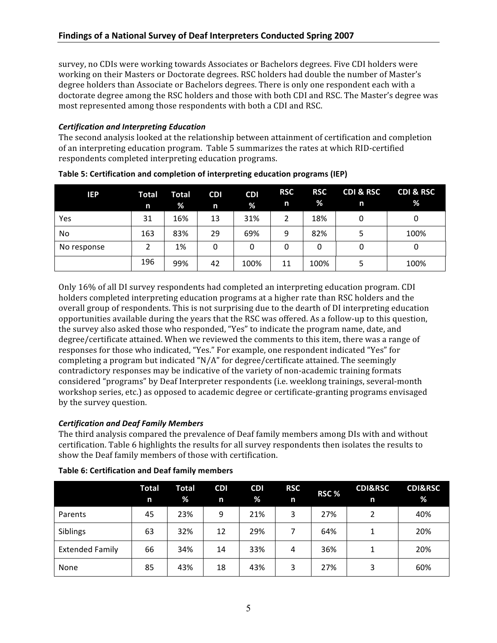survey, no CDIs were working towards Associates or Bachelors degrees. Five CDI holders were working on their Masters or Doctorate degrees. RSC holders had double the number of Master's degree holders than Associate or Bachelors degrees. There is only one respondent each with a doctorate degree among the RSC holders and those with both CDI and RSC. The Master's degree was most represented among those respondents with both a CDI and RSC.

## **Certification and Interpreting Education**

The second analysis looked at the relationship between attainment of certification and completion of an interpreting education program. Table 5 summarizes the rates at which RID-certified respondents completed interpreting education programs.

| IEP         | <b>Total</b><br>n | <b>Total</b><br>% | <b>CDI</b><br>n | <b>CDI</b><br>% | <b>RSC</b><br>n | <b>RSC</b><br>$\frac{9}{6}$ | <b>CDI &amp; RSC</b><br>n | <b>CDI &amp; RSC</b><br>% |
|-------------|-------------------|-------------------|-----------------|-----------------|-----------------|-----------------------------|---------------------------|---------------------------|
| Yes         | 31                | 16%               | 13              | 31%             | 2               | 18%                         | 0                         | 0                         |
| No          | 163               | 83%               | 29              | 69%             | 9               | 82%                         | 5                         | 100%                      |
| No response |                   | 1%                | 0               | 0               | 0               | 0                           | 0                         | 0                         |
|             | 196               | 99%               | 42              | 100%            | 11              | 100%                        | 5                         | 100%                      |

Table 5: Certification and completion of interpreting education programs (IEP)

Only 16% of all DI survey respondents had completed an interpreting education program. CDI holders completed interpreting education programs at a higher rate than RSC holders and the overall group of respondents. This is not surprising due to the dearth of DI interpreting education opportunities available during the years that the RSC was offered. As a follow-up to this question, the survey also asked those who responded, "Yes" to indicate the program name, date, and degree/certificate attained. When we reviewed the comments to this item, there was a range of responses for those who indicated, "Yes." For example, one respondent indicated "Yes" for completing a program but indicated "N/A" for degree/certificate attained. The seemingly contradictory responses may be indicative of the variety of non-academic training formats considered "programs" by Deaf Interpreter respondents (i.e. weeklong trainings, several-month workshop series, etc.) as opposed to academic degree or certificate-granting programs envisaged by the survey question.

## **Certification and Deaf Family Members**

The third analysis compared the prevalence of Deaf family members among DIs with and without certification. Table 6 highlights the results for all survey respondents then isolates the results to show the Deaf family members of those with certification.

|                        | <b>Total</b><br>n | <b>Total</b><br>% | <b>CDI</b><br>n | <b>CDI</b><br>% | <b>RSC</b><br>n | RSC% | <b>CDI&amp;RSC</b><br>n | <b>CDI&amp;RSC</b><br>% |
|------------------------|-------------------|-------------------|-----------------|-----------------|-----------------|------|-------------------------|-------------------------|
| Parents                | 45                | 23%               | 9               | 21%             | 3               | 27%  |                         | 40%                     |
| Siblings               | 63                | 32%               | 12              | 29%             |                 | 64%  |                         | 20%                     |
| <b>Extended Family</b> | 66                | 34%               | 14              | 33%             | 4               | 36%  |                         | 20%                     |
| None                   | 85                | 43%               | 18              | 43%             | 3               | 27%  | 3                       | 60%                     |

#### Table 6: Certification and Deaf family members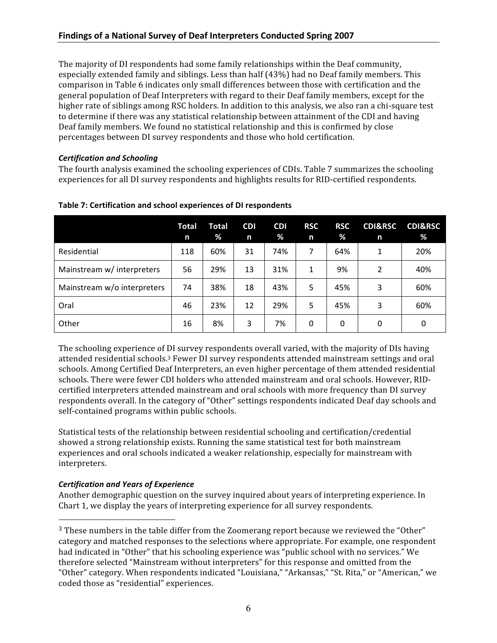The majority of DI respondents had some family relationships within the Deaf community, especially extended family and siblings. Less than half (43%) had no Deaf family members. This comparison in Table 6 indicates only small differences between those with certification and the general population of Deaf Interpreters with regard to their Deaf family members, except for the higher rate of siblings among RSC holders. In addition to this analysis, we also ran a chi-square test to determine if there was any statistical relationship between attainment of the CDI and having Deaf family members. We found no statistical relationship and this is confirmed by close percentages between DI survey respondents and those who hold certification.

# **Certification and Schooling**

The fourth analysis examined the schooling experiences of CDIs. Table 7 summarizes the schooling experiences for all DI survey respondents and highlights results for RID-certified respondents.

|                             | Total<br>n | Total<br>% | <b>CDI</b><br>n | <b>CDI</b><br>% | <b>RSC</b><br>n | <b>RSC</b><br>% | <b>CDI&amp;RSC</b><br>n | <b>CDI&amp;RSC</b><br>% |
|-----------------------------|------------|------------|-----------------|-----------------|-----------------|-----------------|-------------------------|-------------------------|
| Residential                 | 118        | 60%        | 31              | 74%             | 7               | 64%             | 1                       | 20%                     |
| Mainstream w/ interpreters  | 56         | 29%        | 13              | 31%             | 1               | 9%              | 2                       | 40%                     |
| Mainstream w/o interpreters | 74         | 38%        | 18              | 43%             | 5               | 45%             | 3                       | 60%                     |
| Oral                        | 46         | 23%        | 12              | 29%             | 5               | 45%             | 3                       | 60%                     |
| Other                       | 16         | 8%         | 3               | 7%              | $\Omega$        | $\Omega$        | 0                       | 0                       |

## Table 7: Certification and school experiences of DI respondents

The schooling experience of DI survey respondents overall varied, with the majority of DIs having attended residential schools.<sup>3</sup> Fewer DI survey respondents attended mainstream settings and oral schools. Among Certified Deaf Interpreters, an even higher percentage of them attended residential schools. There were fewer CDI holders who attended mainstream and oral schools. However, RIDcertified interpreters attended mainstream and oral schools with more frequency than DI survey respondents overall. In the category of "Other" settings respondents indicated Deaf day schools and self-contained programs within public schools.

Statistical tests of the relationship between residential schooling and certification/credential showed a strong relationship exists. Running the same statistical test for both mainstream experiences and oral schools indicated a weaker relationship, especially for mainstream with interpreters.

# **Certification and Years of Experience**

Another demographic question on the survey inquired about years of interpreting experience. In Chart 1, we display the years of interpreting experience for all survey respondents.

<sup>&</sup>lt;sup>3</sup> These numbers in the table differ from the Zoomerang report because we reviewed the "Other" category and matched responses to the selections where appropriate. For example, one respondent had indicated in "Other" that his schooling experience was "public school with no services." We therefore selected "Mainstream without interpreters" for this response and omitted from the "Other" category. When respondents indicated "Louisiana," "Arkansas," "St. Rita," or "American," we coded those as "residential" experiences.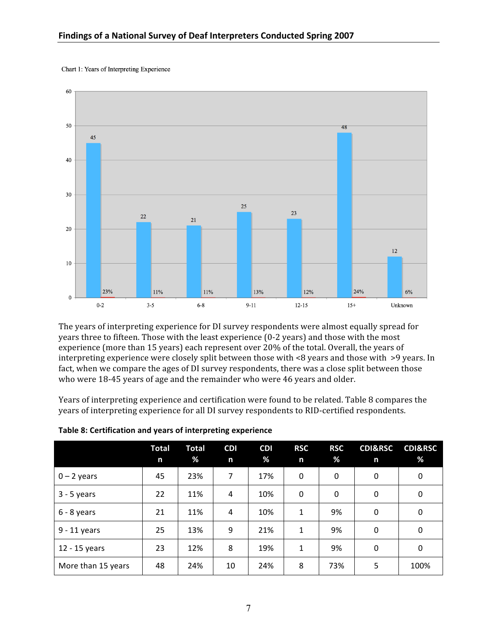Chart 1: Years of Interpreting Experience



The years of interpreting experience for DI survey respondents were almost equally spread for years three to fifteen. Those with the least experience (0-2 years) and those with the most experience (more than 15 years) each represent over 20% of the total. Overall, the years of interpreting experience were closely split between those with  $\leq 8$  years and those with  $\geq 9$  years. In fact, when we compare the ages of DI survey respondents, there was a close split between those who were 18-45 years of age and the remainder who were 46 years and older.

Years of interpreting experience and certification were found to be related. Table 8 compares the years of interpreting experience for all DI survey respondents to RID-certified respondents.

|                    | <b>Total</b><br>n | <b>Total</b><br>% | <b>CDI</b><br>n | <b>CDI</b><br>% | <b>RSC</b><br>n | <b>RSC</b><br>% | <b>CDI&amp;RSC</b><br>n | <b>CDI&amp;RSC</b><br>% |
|--------------------|-------------------|-------------------|-----------------|-----------------|-----------------|-----------------|-------------------------|-------------------------|
| $0 - 2$ years      | 45                | 23%               | 7               | 17%             | 0               | 0               | $\mathbf 0$             | $\mathbf 0$             |
| $3 - 5$ years      | 22                | 11%               | 4               | 10%             | 0               | 0               | 0                       | 0                       |
| $6 - 8$ years      | 21                | 11%               | 4               | 10%             | 1               | 9%              | $\mathbf 0$             | $\Omega$                |
| 9 - 11 years       | 25                | 13%               | 9               | 21%             | 1               | 9%              | $\mathbf 0$             | 0                       |
| 12 - 15 years      | 23                | 12%               | 8               | 19%             | 1               | 9%              | $\mathbf 0$             | 0                       |
| More than 15 years | 48                | 24%               | 10              | 24%             | 8               | 73%             | 5                       | 100%                    |

Table 8: Certification and years of interpreting experience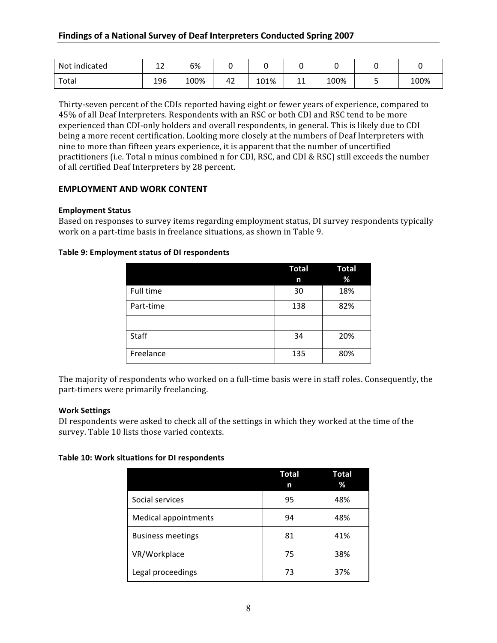| Not indicated | $\sim$<br>∸∸ | 6%   |    |      |    |      |   |      |
|---------------|--------------|------|----|------|----|------|---|------|
| Total         | 196          | 100% | 42 | 101% | ᆠᅶ | 100% | ۔ | 100% |

Thirty-seven percent of the CDIs reported having eight or fewer years of experience, compared to 45% of all Deaf Interpreters. Respondents with an RSC or both CDI and RSC tend to be more experienced than CDI-only holders and overall respondents, in general. This is likely due to CDI being a more recent certification. Looking more closely at the numbers of Deaf Interpreters with nine to more than fifteen years experience, it is apparent that the number of uncertified practitioners (i.e. Total n minus combined n for CDI, RSC, and CDI & RSC) still exceeds the number of all certified Deaf Interpreters by 28 percent.

## **EMPLOYMENT AND WORK CONTENT**

#### **Employment Status**

Based on responses to survey items regarding employment status, DI survey respondents typically work on a part-time basis in freelance situations, as shown in Table 9.

#### Table 9: Employment status of DI respondents

|           | <b>Total</b><br>n | <b>Total</b><br>% |
|-----------|-------------------|-------------------|
| Full time | 30                | 18%               |
| Part-time | 138               | 82%               |
|           |                   |                   |
| Staff     | 34                | 20%               |
| Freelance | 135               | 80%               |

The majority of respondents who worked on a full-time basis were in staff roles. Consequently, the part-timers were primarily freelancing.

#### **Work Settings**

DI respondents were asked to check all of the settings in which they worked at the time of the survey. Table 10 lists those varied contexts.

#### Table 10: Work situations for DI respondents

|                          | Total<br>n | Total<br>% |
|--------------------------|------------|------------|
| Social services          | 95         | 48%        |
| Medical appointments     | 94         | 48%        |
| <b>Business meetings</b> | 81         | 41%        |
| VR/Workplace             | 75         | 38%        |
| Legal proceedings        | 73         | 37%        |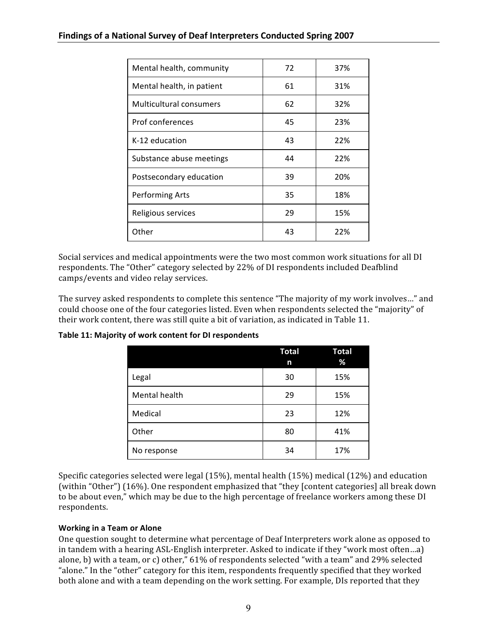| Mental health, community  | 72 | 37% |
|---------------------------|----|-----|
| Mental health, in patient | 61 | 31% |
| Multicultural consumers   | 62 | 32% |
| Prof conferences          | 45 | 23% |
| K-12 education            | 43 | 22% |
| Substance abuse meetings  | 44 | 22% |
| Postsecondary education   | 39 | 20% |
| <b>Performing Arts</b>    | 35 | 18% |
| Religious services        | 29 | 15% |
| Other                     | 43 | 22% |

Social services and medical appointments were the two most common work situations for all DI respondents. The "Other" category selected by 22% of DI respondents included Deafblind camps/events and video relay services.

The survey asked respondents to complete this sentence "The majority of my work involves..." and could choose one of the four categories listed. Even when respondents selected the "majority" of their work content, there was still quite a bit of variation, as indicated in Table 11.

|               | <b>Total</b><br>n | <b>Total</b><br>% |
|---------------|-------------------|-------------------|
| Legal         | 30                | 15%               |
| Mental health | 29                | 15%               |
| Medical       | 23                | 12%               |
| Other         | 80                | 41%               |
| No response   | 34                | 17%               |

Table 11: Majority of work content for DI respondents

Specific categories selected were legal  $(15\%)$ , mental health  $(15\%)$  medical  $(12\%)$  and education (within "Other") (16%). One respondent emphasized that "they [content categories] all break down to be about even," which may be due to the high percentage of freelance workers among these DI respondents.

## **Working in a Team or Alone**

One question sought to determine what percentage of Deaf Interpreters work alone as opposed to in tandem with a hearing ASL-English interpreter. Asked to indicate if they "work most often...a) alone, b) with a team, or c) other," 61% of respondents selected "with a team" and 29% selected "alone." In the "other" category for this item, respondents frequently specified that they worked both alone and with a team depending on the work setting. For example, DIs reported that they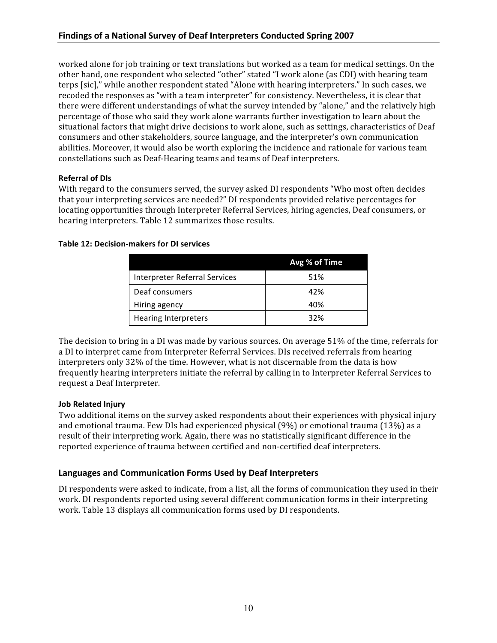worked alone for job training or text translations but worked as a team for medical settings. On the other hand, one respondent who selected "other" stated "I work alone (as CDI) with hearing team terps [sic]," while another respondent stated "Alone with hearing interpreters." In such cases, we recoded the responses as "with a team interpreter" for consistency. Nevertheless, it is clear that there were different understandings of what the survey intended by "alone," and the relatively high percentage of those who said they work alone warrants further investigation to learn about the situational factors that might drive decisions to work alone, such as settings, characteristics of Deaf consumers and other stakeholders, source language, and the interpreter's own communication abilities. Moreover, it would also be worth exploring the incidence and rationale for various team constellations such as Deaf-Hearing teams and teams of Deaf interpreters.

# **Referral of DIs**

With regard to the consumers served, the survey asked DI respondents "Who most often decides" that your interpreting services are needed?" DI respondents provided relative percentages for locating opportunities through Interpreter Referral Services, hiring agencies, Deaf consumers, or hearing interpreters. Table 12 summarizes those results.

|                                      | Avg % of Time |
|--------------------------------------|---------------|
| <b>Interpreter Referral Services</b> | 51%           |
| Deaf consumers                       | 42%           |
| Hiring agency                        | 40%           |
| <b>Hearing Interpreters</b>          | 32%           |

## **Table 12: Decision-makers for DI services**

The decision to bring in a DI was made by various sources. On average 51% of the time, referrals for a DI to interpret came from Interpreter Referral Services. DIs received referrals from hearing interpreters only 32% of the time. However, what is not discernable from the data is how frequently hearing interpreters initiate the referral by calling in to Interpreter Referral Services to request a Deaf Interpreter.

# **Job Related Injury**

Two additional items on the survey asked respondents about their experiences with physical injury and emotional trauma. Few DIs had experienced physical (9%) or emotional trauma (13%) as a result of their interpreting work. Again, there was no statistically significant difference in the reported experience of trauma between certified and non-certified deaf interpreters.

# Languages and Communication Forms Used by Deaf Interpreters

DI respondents were asked to indicate, from a list, all the forms of communication they used in their work. DI respondents reported using several different communication forms in their interpreting work. Table 13 displays all communication forms used by DI respondents.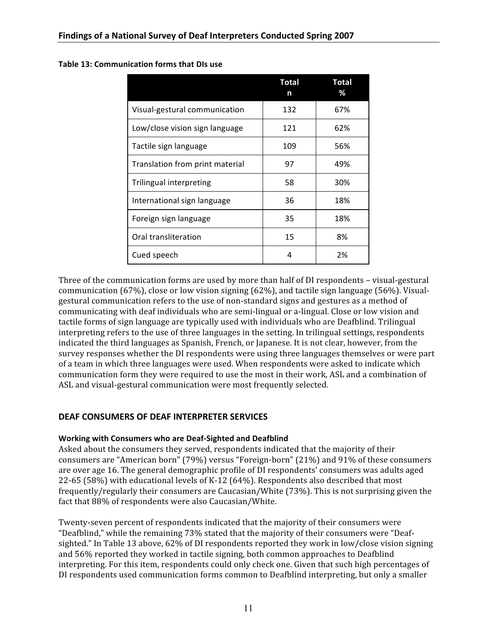|                                 | Total<br>n | <b>Total</b><br>℅ |
|---------------------------------|------------|-------------------|
| Visual-gestural communication   | 132        | 67%               |
| Low/close vision sign language  | 121        | 62%               |
| Tactile sign language           | 109        | 56%               |
| Translation from print material | 97         | 49%               |
| Trilingual interpreting         | 58         | 30%               |
| International sign language     | 36         | 18%               |
| Foreign sign language           | 35         | 18%               |
| Oral transliteration            | 15         | 8%                |
| Cued speech                     | 4          | 2%                |

#### Table 13: Communication forms that DIs use

Three of the communication forms are used by more than half of DI respondents – visual-gestural communication (67%), close or low vision signing (62%), and tactile sign language (56%). Visualgestural communication refers to the use of non-standard signs and gestures as a method of communicating with deaf individuals who are semi-lingual or a-lingual. Close or low vision and tactile forms of sign language are typically used with individuals who are Deafblind. Trilingual interpreting refers to the use of three languages in the setting. In trilingual settings, respondents indicated the third languages as Spanish, French, or Japanese. It is not clear, however, from the survey responses whether the DI respondents were using three languages themselves or were part of a team in which three languages were used. When respondents were asked to indicate which communication form they were required to use the most in their work, ASL and a combination of ASL and visual-gestural communication were most frequently selected.

## **DEAF CONSUMERS OF DEAF INTERPRETER SERVICES**

#### Working with Consumers who are Deaf-Sighted and Deafblind

Asked about the consumers they served, respondents indicated that the majority of their consumers are "American born" (79%) versus "Foreign-born" (21%) and 91% of these consumers are over age 16. The general demographic profile of DI respondents' consumers was adults aged 22-65 (58%) with educational levels of K-12 (64%). Respondents also described that most frequently/regularly their consumers are Caucasian/White (73%). This is not surprising given the fact that 88% of respondents were also Caucasian/White.

Twenty-seven percent of respondents indicated that the majority of their consumers were "Deafblind," while the remaining 73% stated that the majority of their consumers were "Deafsighted." In Table 13 above, 62% of DI respondents reported they work in low/close vision signing and 56% reported they worked in tactile signing, both common approaches to Deafblind interpreting. For this item, respondents could only check one. Given that such high percentages of DI respondents used communication forms common to Deafblind interpreting, but only a smaller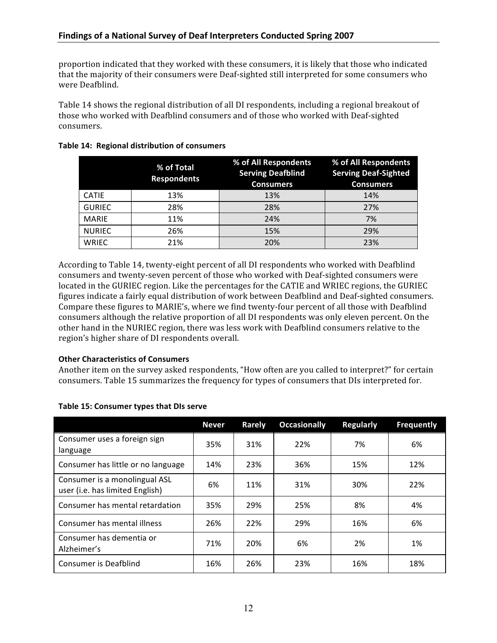proportion indicated that they worked with these consumers, it is likely that those who indicated that the majority of their consumers were Deaf-sighted still interpreted for some consumers who were Deafblind.

Table 14 shows the regional distribution of all DI respondents, including a regional breakout of those who worked with Deafblind consumers and of those who worked with Deaf-sighted consumers.

|               | % of Total<br><b>Respondents</b> | % of All Respondents<br><b>Serving Deafblind</b><br><b>Consumers</b> | % of All Respondents<br><b>Serving Deaf-Sighted</b><br><b>Consumers</b> |
|---------------|----------------------------------|----------------------------------------------------------------------|-------------------------------------------------------------------------|
| <b>CATIE</b>  | 13%                              | 13%                                                                  | 14%                                                                     |
| <b>GURIEC</b> | 28%                              | 28%                                                                  | 27%                                                                     |
| <b>MARIE</b>  | 11%                              | 24%                                                                  | 7%                                                                      |
| <b>NURIEC</b> | 26%                              | 15%                                                                  | 29%                                                                     |
| <b>WRIEC</b>  | 21%                              | 20%                                                                  | 23%                                                                     |

#### Table 14: Regional distribution of consumers

According to Table 14, twenty-eight percent of all DI respondents who worked with Deafblind consumers and twenty-seven percent of those who worked with Deaf-sighted consumers were located in the GURIEC region. Like the percentages for the CATIE and WRIEC regions, the GURIEC figures indicate a fairly equal distribution of work between Deafblind and Deaf-sighted consumers. Compare these figures to MARIE's, where we find twenty-four percent of all those with Deafblind consumers although the relative proportion of all DI respondents was only eleven percent. On the other hand in the NURIEC region, there was less work with Deafblind consumers relative to the region's higher share of DI respondents overall.

## **Other Characteristics of Consumers**

Another item on the survey asked respondents, "How often are you called to interpret?" for certain consumers. Table 15 summarizes the frequency for types of consumers that DIs interpreted for.

|                                                                  | <b>Never</b> | Rarely | <b>Occasionally</b> | <b>Regularly</b> | <b>Frequently</b> |
|------------------------------------------------------------------|--------------|--------|---------------------|------------------|-------------------|
| Consumer uses a foreign sign<br>language                         | 35%          | 31%    | 22%                 | 7%               | 6%                |
| Consumer has little or no language                               | 14%          | 23%    | 36%                 | 15%              | 12%               |
| Consumer is a monolingual ASL<br>user (i.e. has limited English) | 6%           | 11%    | 31%                 | 30%              | 22%               |
| Consumer has mental retardation                                  | 35%          | 29%    | 25%                 | 8%               | 4%                |
| Consumer has mental illness                                      | 26%          | 22%    | 29%                 | 16%              | 6%                |
| Consumer has dementia or<br>Alzheimer's                          | 71%          | 20%    | 6%                  | 2%               | 1%                |
| Consumer is Deafblind                                            | 16%          | 26%    | 23%                 | 16%              | 18%               |

#### Table 15: Consumer types that DIs serve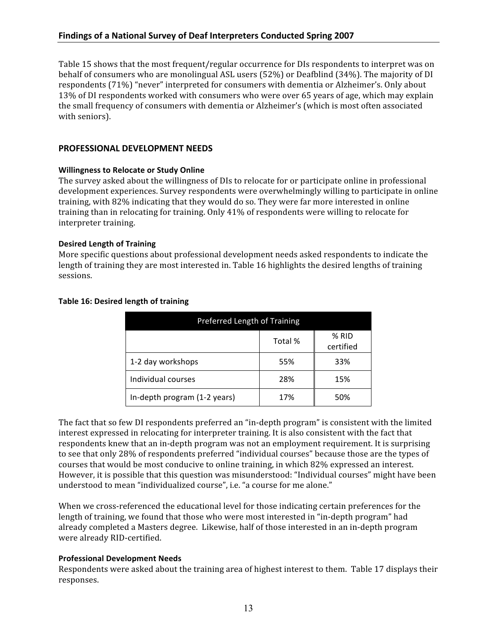Table 15 shows that the most frequent/regular occurrence for DIs respondents to interpret was on behalf of consumers who are monolingual ASL users (52%) or Deafblind (34%). The majority of DI respondents (71%) "never" interpreted for consumers with dementia or Alzheimer's. Only about 13% of DI respondents worked with consumers who were over 65 years of age, which may explain the small frequency of consumers with dementia or Alzheimer's (which is most often associated with seniors).

#### PROFESSIONAL DEVELOPMENT NEEDS

#### **Willingness to Relocate or Study Online**

The survey asked about the willingness of DIs to relocate for or participate online in professional development experiences. Survey respondents were overwhelmingly willing to participate in online training, with 82% indicating that they would do so. They were far more interested in online training than in relocating for training. Only 41% of respondents were willing to relocate for interpreter training.

#### **Desired Length of Training**

More specific questions about professional development needs asked respondents to indicate the length of training they are most interested in. Table 16 highlights the desired lengths of training sessions.

| Preferred Length of Training |         |                    |  |  |  |
|------------------------------|---------|--------------------|--|--|--|
|                              | Total % | % RID<br>certified |  |  |  |
| 1-2 day workshops            | 55%     | 33%                |  |  |  |
| Individual courses           | 28%     | 15%                |  |  |  |
| In-depth program (1-2 years) | 17%     | 50%                |  |  |  |

## Table 16: Desired length of training

The fact that so few DI respondents preferred an "in-depth program" is consistent with the limited interest expressed in relocating for interpreter training. It is also consistent with the fact that respondents knew that an in-depth program was not an employment requirement. It is surprising to see that only 28% of respondents preferred "individual courses" because those are the types of courses that would be most conducive to online training, in which 82% expressed an interest. However, it is possible that this question was misunderstood: "Individual courses" might have been understood to mean "individualized course", i.e. "a course for me alone."

When we cross-referenced the educational level for those indicating certain preferences for the length of training, we found that those who were most interested in "in-depth program" had already completed a Masters degree. Likewise, half of those interested in an in-depth program were already RID-certified.

## **Professional Development Needs**

Respondents were asked about the training area of highest interest to them. Table 17 displays their responses.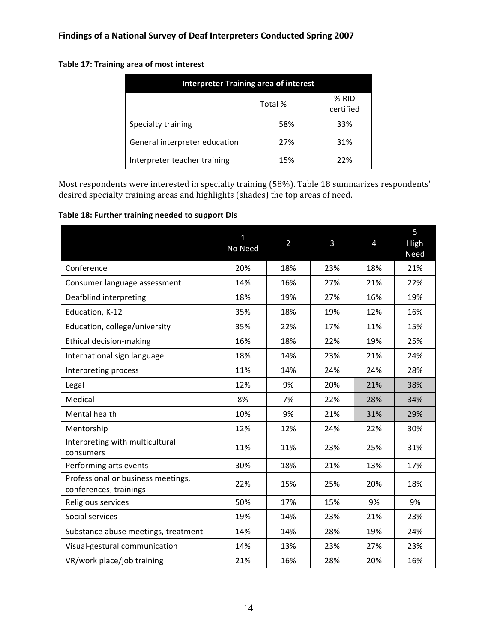# Table 17: Training area of most interest

| <b>Interpreter Training area of interest</b> |     |                    |  |  |
|----------------------------------------------|-----|--------------------|--|--|
| Total %                                      |     | % RID<br>certified |  |  |
| Specialty training                           | 58% | 33%                |  |  |
| General interpreter education                | 27% | 31%                |  |  |
| Interpreter teacher training                 | 15% | 22%                |  |  |

Most respondents were interested in specialty training (58%). Table 18 summarizes respondents' desired specialty training areas and highlights (shades) the top areas of need.

#### Table 18: Further training needed to support DIs

|                                                              | 1<br>No Need | $\overline{2}$ | 3   | 4   | 5<br>High<br>Need |
|--------------------------------------------------------------|--------------|----------------|-----|-----|-------------------|
| Conference                                                   | 20%          | 18%            | 23% | 18% | 21%               |
| Consumer language assessment                                 | 14%          | 16%            | 27% | 21% | 22%               |
| Deafblind interpreting                                       | 18%          | 19%            | 27% | 16% | 19%               |
| Education, K-12                                              | 35%          | 18%            | 19% | 12% | 16%               |
| Education, college/university                                | 35%          | 22%            | 17% | 11% | 15%               |
| Ethical decision-making                                      | 16%          | 18%            | 22% | 19% | 25%               |
| International sign language                                  | 18%          | 14%            | 23% | 21% | 24%               |
| Interpreting process                                         | 11%          | 14%            | 24% | 24% | 28%               |
| Legal                                                        | 12%          | 9%             | 20% | 21% | 38%               |
| Medical                                                      | 8%           | 7%             | 22% | 28% | 34%               |
| Mental health                                                | 10%          | 9%             | 21% | 31% | 29%               |
| Mentorship                                                   | 12%          | 12%            | 24% | 22% | 30%               |
| Interpreting with multicultural<br>consumers                 | 11%          | 11%            | 23% | 25% | 31%               |
| Performing arts events                                       | 30%          | 18%            | 21% | 13% | 17%               |
| Professional or business meetings,<br>conferences, trainings | 22%          | 15%            | 25% | 20% | 18%               |
| Religious services                                           | 50%          | 17%            | 15% | 9%  | 9%                |
| Social services                                              | 19%          | 14%            | 23% | 21% | 23%               |
| Substance abuse meetings, treatment                          | 14%          | 14%            | 28% | 19% | 24%               |
| Visual-gestural communication                                | 14%          | 13%            | 23% | 27% | 23%               |
| VR/work place/job training                                   | 21%          | 16%            | 28% | 20% | 16%               |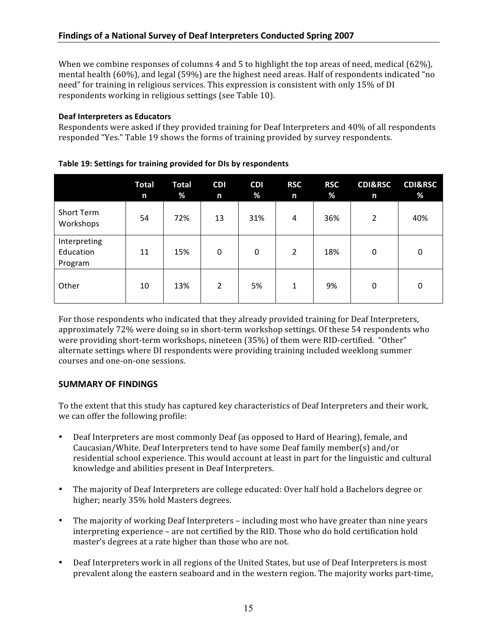When we combine responses of columns 4 and 5 to highlight the top areas of need, medical  $(62\%)$ , mental health (60%), and legal (59%) are the highest need areas. Half of respondents indicated "no need" for training in religious services. This expression is consistent with only 15% of DI respondents working in religious settings (see Table 10).

# **Deaf Interpreters as Educators**

Respondents were asked if they provided training for Deaf Interpreters and 40% of all respondents responded "Yes." Table 19 shows the forms of training provided by survey respondents.

|                                      | Total<br>n | <b>Total</b><br>% | <b>CDI</b><br>n | <b>CDI</b><br>% | <b>RSC</b><br>n | <b>RSC</b><br>% | <b>CDI&amp;RSC</b><br>n | <b>CDI&amp;RSC</b><br>% |
|--------------------------------------|------------|-------------------|-----------------|-----------------|-----------------|-----------------|-------------------------|-------------------------|
| Short Term<br>Workshops              | 54         | 72%               | 13              | 31%             | 4               | 36%             | 2                       | 40%                     |
| Interpreting<br>Education<br>Program | 11         | 15%               | 0               | 0               | 2               | 18%             | 0                       | 0                       |
| Other                                | 10         | 13%               | $\overline{2}$  | 5%              | 1               | 9%              | 0                       | 0                       |

## Table 19: Settings for training provided for DIs by respondents

For those respondents who indicated that they already provided training for Deaf Interpreters, approximately 72% were doing so in short-term workshop settings. Of these 54 respondents who were providing short-term workshops, nineteen (35%) of them were RID-certified. "Other" alternate settings where DI respondents were providing training included weeklong summer courses and one-on-one sessions.

# **SUMMARY OF FINDINGS**

To the extent that this study has captured key characteristics of Deaf Interpreters and their work, we can offer the following profile:

- Deaf Interpreters are most commonly Deaf (as opposed to Hard of Hearing), female, and Caucasian/White, Deaf Interpreters tend to have some Deaf family member(s) and/or residential school experience. This would account at least in part for the linguistic and cultural knowledge and abilities present in Deaf Interpreters.
- The majority of Deaf Interpreters are college educated: Over half hold a Bachelors degree or  $\bullet$ higher; nearly 35% hold Masters degrees.
- The majority of working Deaf Interpreters including most who have greater than nine years interpreting experience - are not certified by the RID. Those who do hold certification hold master's degrees at a rate higher than those who are not.
- Deaf Interpreters work in all regions of the United States, but use of Deaf Interpreters is most prevalent along the eastern seaboard and in the western region. The majority works part-time,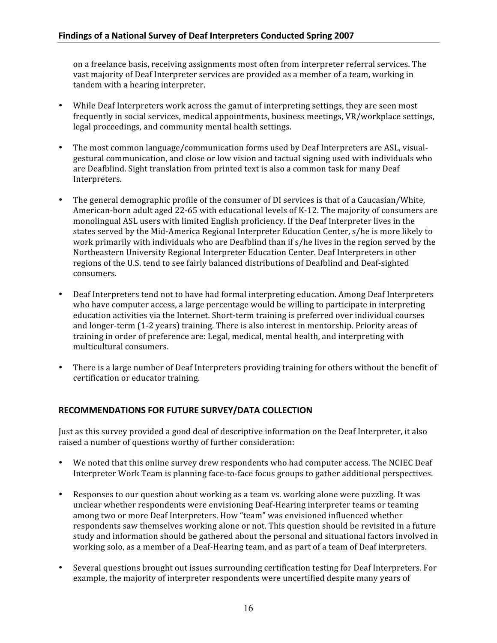on a freelance basis, receiving assignments most often from interpreter referral services. The vast majority of Deaf Interpreter services are provided as a member of a team, working in tandem with a hearing interpreter.

- While Deaf Interpreters work across the gamut of interpreting settings, they are seen most frequently in social services, medical appointments, business meetings, VR/workplace settings, legal proceedings, and community mental health settings.
- The most common language/communication forms used by Deaf Interpreters are ASL, visualgestural communication, and close or low vision and tactual signing used with individuals who are Deafblind. Sight translation from printed text is also a common task for many Deaf Interpreters.
- The general demographic profile of the consumer of DI services is that of a Caucasian/White, American-born adult aged 22-65 with educational levels of K-12. The majority of consumers are monolingual ASL users with limited English proficiency. If the Deaf Interpreter lives in the states served by the Mid-America Regional Interpreter Education Center, s/he is more likely to work primarily with individuals who are Deafblind than if s/he lives in the region served by the Northeastern University Regional Interpreter Education Center. Deaf Interpreters in other regions of the U.S. tend to see fairly balanced distributions of Deafblind and Deaf-sighted consumers.
- Deaf Interpreters tend not to have had formal interpreting education. Among Deaf Interpreters who have computer access, a large percentage would be willing to participate in interpreting education activities via the Internet. Short-term training is preferred over individual courses and longer-term (1-2 years) training. There is also interest in mentorship. Priority areas of training in order of preference are: Legal, medical, mental health, and interpreting with multicultural consumers.
- There is a large number of Deaf Interpreters providing training for others without the benefit of certification or educator training.

# RECOMMENDATIONS FOR FUTURE SURVEY/DATA COLLECTION

Just as this survey provided a good deal of descriptive information on the Deaf Interpreter, it also raised a number of questions worthy of further consideration:

- We noted that this online survey drew respondents who had computer access. The NCIEC Deaf Interpreter Work Team is planning face-to-face focus groups to gather additional perspectives.
- Responses to our question about working as a team vs. working alone were puzzling. It was unclear whether respondents were envisioning Deaf-Hearing interpreter teams or teaming among two or more Deaf Interpreters. How "team" was envisioned influenced whether respondents saw themselves working alone or not. This question should be revisited in a future study and information should be gathered about the personal and situational factors involved in working solo, as a member of a Deaf-Hearing team, and as part of a team of Deaf interpreters.
- Several questions brought out issues surrounding certification testing for Deaf Interpreters. For example, the majority of interpreter respondents were uncertified despite many years of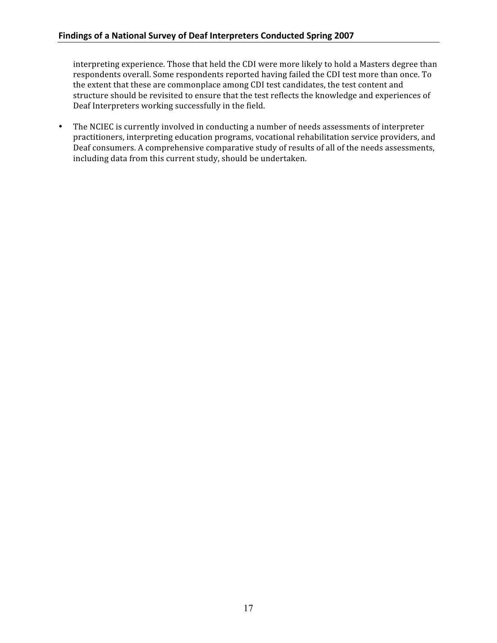interpreting experience. Those that held the CDI were more likely to hold a Masters degree than respondents overall. Some respondents reported having failed the CDI test more than once. To the extent that these are commonplace among CDI test candidates, the test content and structure should be revisited to ensure that the test reflects the knowledge and experiences of Deaf Interpreters working successfully in the field.

The NCIEC is currently involved in conducting a number of needs assessments of interpreter  $\bullet$ practitioners, interpreting education programs, vocational rehabilitation service providers, and Deaf consumers. A comprehensive comparative study of results of all of the needs assessments, including data from this current study, should be undertaken.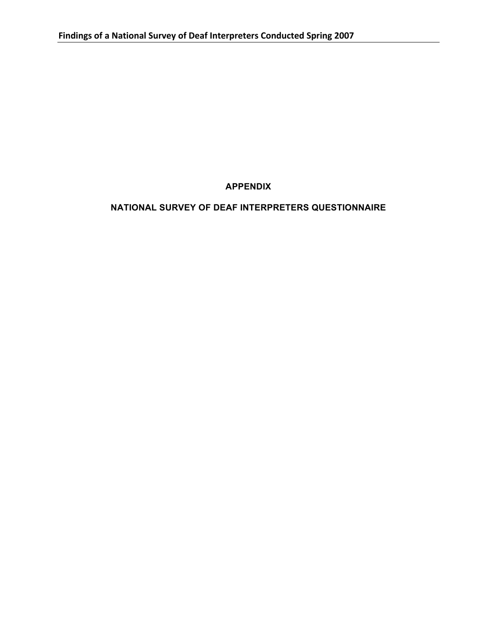**APPENDIX** 

# NATIONAL SURVEY OF DEAF INTERPRETERS QUESTIONNAIRE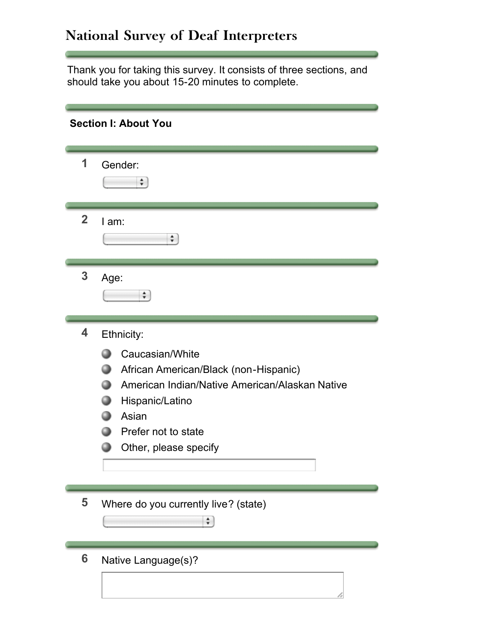# National Survey of Deaf Interpreters

Thank you for taking this survey. It consists of three sections, and should take you about 15-20 minutes to complete.

|                | <b>Section I: About You</b>                                                                                                                                                                          |
|----------------|------------------------------------------------------------------------------------------------------------------------------------------------------------------------------------------------------|
| 1              | Gender:<br>÷                                                                                                                                                                                         |
| $\overline{2}$ | $I$ am:<br>÷                                                                                                                                                                                         |
| 3              | Age:<br>$\div$                                                                                                                                                                                       |
| 4              | Ethnicity:<br>Caucasian/White<br>African American/Black (non-Hispanic)<br>American Indian/Native American/Alaskan Native<br>Hispanic/Latino<br>Asian<br>Prefer not to state<br>Other, please specify |
| 5              | Where do you currently live? (state)<br>÷                                                                                                                                                            |
| 6              | Native Language(s)?                                                                                                                                                                                  |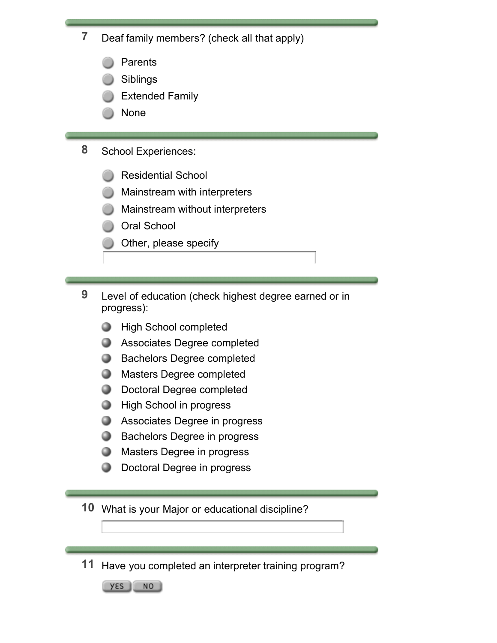**7** Deaf family members? (check all that apply)

- Parents
- Siblings
- Extended Family
- None
- **8** School Experiences:
	- Residential School
	- Mainstream with interpreters
	- Mainstream without interpreters
	- Oral School
	- Other, please specify
- **9** Level of education (check highest degree earned or in progress):
	- **High School completed**
	- **Associates Degree completed**
	- **Bachelors Degree completed**
	- **Masters Degree completed**
	- **Doctoral Degree completed**
	- **High School in progress**
	- **Associates Degree in progress**
	- **Bachelors Degree in progress**
	- **Masters Degree in progress**
	- **D** Doctoral Degree in progress

**10** What is your Major or educational discipline?

**11** Have you completed an interpreter training program?

YES NO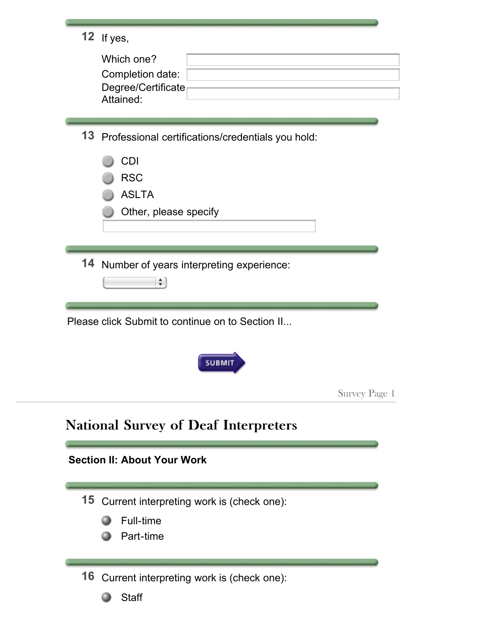|  | If ves. |
|--|---------|
|--|---------|

| Which one?                      |  |
|---------------------------------|--|
| Completion date:                |  |
| Degree/Certificate<br>Attained: |  |

**13** Professional certifications/credentials you hold:

|    | <b>CDI</b><br><b>RSC</b><br><b>ASLTA</b><br>Other, please specify |  |
|----|-------------------------------------------------------------------|--|
| 14 | Number of years interpreting experience:<br>÷                     |  |
|    | Please click Submit to continue on to Section II                  |  |
|    | <b>SUBMIT</b>                                                     |  |
|    | Survey Page 1                                                     |  |
|    | <b>National Survey of Deaf Interpreters</b>                       |  |
|    | <b>Section II: About Your Work</b>                                |  |
| 15 | Current interpreting work is (check one):                         |  |
|    | Full-time<br>Part-time                                            |  |
|    |                                                                   |  |
|    | 16 Current interpreting work is (check one):                      |  |
|    | <b>Staff</b>                                                      |  |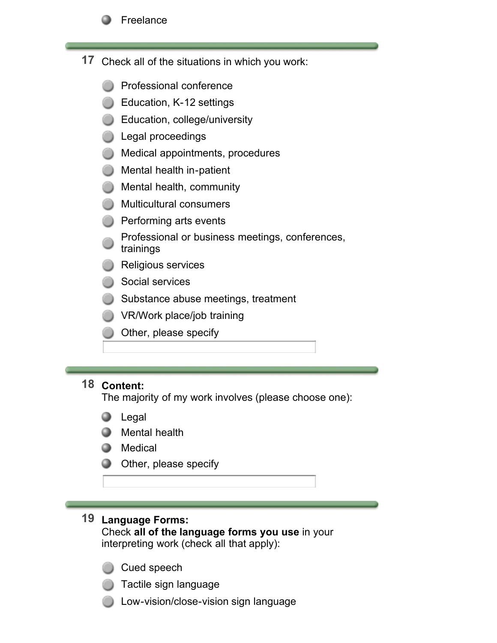

- **17** Check all of the situations in which you work:
	- Professional conference
	- **Education, K-12 settings**
	- Education, college/university
	- Legal proceedings
	- **Medical appointments, procedures**
	- **Mental health in-patient**
	- **Mental health, community**
	- **Multicultural consumers**
	- **Performing arts events**
	- Professional or business meetings, conferences, trainings
	- Religious services
	- Social services
	- Substance abuse meetings, treatment
	- VR/Work place/job training
	- Other, please specify

# **18 Content:**

The majority of my work involves (please choose one):

- Legal .
- **Mental health**
- **O** Medical
- **Other, please specify**

# **19 Language Forms:**

Check **all of the language forms you use** in your interpreting work (check all that apply):

- Cued speech
- Tactile sign language
- Low-vision/close-vision sign language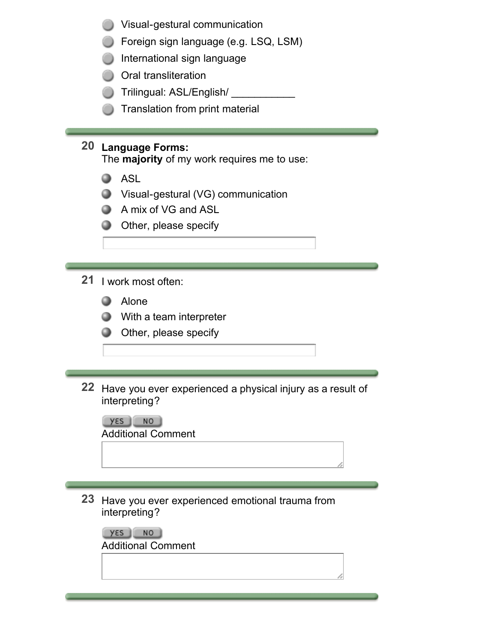- Visual-gestural communication
- Foreign sign language (e.g. LSQ, LSM)
- International sign language
- **Oral transliteration**
- Trilingual: ASL/English/
- **Translation from print material**

# **20 Language Forms:**

The **majority** of my work requires me to use:

- **ASL**
- Visual-gestural (VG) communication
- **A** mix of VG and ASL
- **Other, please specify**

# **21** I work most often:

- **Alone**
- **With a team interpreter**
- **Other, please specify**
- **22** Have you ever experienced a physical injury as a result of interpreting?



**23** Have you ever experienced emotional trauma from interpreting?

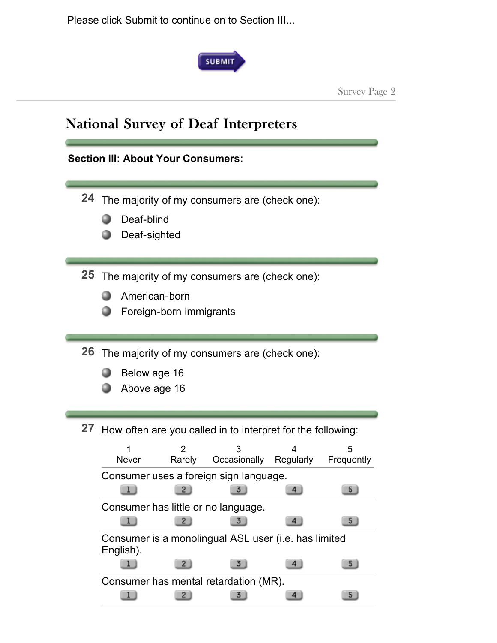Please click Submit to continue on to Section III...



Survey Page 2

|    | <b>Section III: About Your Consumers:</b>                                                                                                                                                                                                                                                                                                                                        |
|----|----------------------------------------------------------------------------------------------------------------------------------------------------------------------------------------------------------------------------------------------------------------------------------------------------------------------------------------------------------------------------------|
|    | 24 The majority of my consumers are (check one):<br>Deaf-blind<br>Deaf-sighted                                                                                                                                                                                                                                                                                                   |
| 25 | The majority of my consumers are (check one):<br>American-born<br>Foreign-born immigrants                                                                                                                                                                                                                                                                                        |
|    | <b>26</b> The majority of my consumers are (check one):<br>Below age 16<br>Above age 16                                                                                                                                                                                                                                                                                          |
| 27 | How often are you called in to interpret for the following:<br>2<br>5<br>Occasionally<br>Regularly<br>Never<br>Rarely<br>Frequently<br>Consumer uses a foreign sign language.<br>$\overline{2}$<br>3<br>5 <sub>1</sub><br>4 <sub>1</sub><br>Consumer has little or no language.<br>3 <sub>1</sub><br>5 <sub>2</sub><br>4<br>Consumer is a monolingual ASL user (i.e. has limited |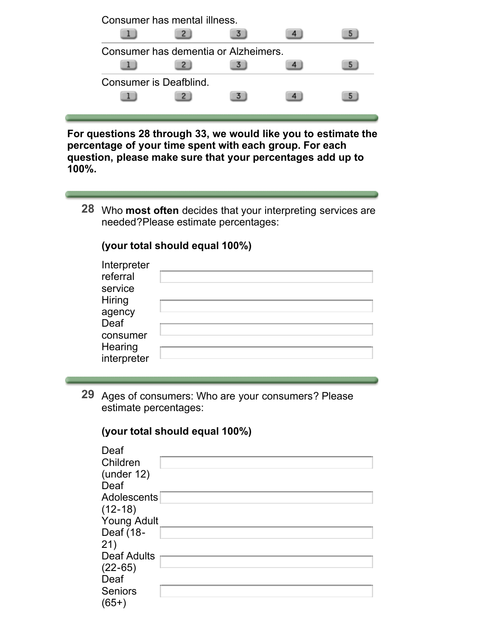| Consumer has mental illness.         |  |   |
|--------------------------------------|--|---|
|                                      |  |   |
| Consumer has dementia or Alzheimers. |  |   |
|                                      |  | ь |
| Consumer is Deafblind.               |  |   |
|                                      |  | ь |
|                                      |  |   |

**For questions 28 through 33, we would like you to estimate the percentage of your time spent with each group. For each question, please make sure that your percentages add up to 100%.**

**28** Who **most often** decides that your interpreting services are needed?Please estimate percentages:

# **(your total should equal 100%)**

| Interpreter<br>referral<br>service<br><b>Hiring</b> |  |
|-----------------------------------------------------|--|
| agency<br>Deaf                                      |  |
| consumer<br>Hearing                                 |  |
| interpreter                                         |  |

**29** Ages of consumers: Who are your consumers? Please estimate percentages:

# **(your total should equal 100%)**

| Deaf<br>Children<br>(under 12)<br>Deaf |  |
|----------------------------------------|--|
| Adolescents                            |  |
| $(12-18)$                              |  |
| <b>Young Adult</b>                     |  |
| Deaf (18-                              |  |
| 21)                                    |  |
| <b>Deaf Adults</b>                     |  |
| $(22-65)$                              |  |
| Deaf                                   |  |
| <b>Seniors</b>                         |  |
| $(65+)$                                |  |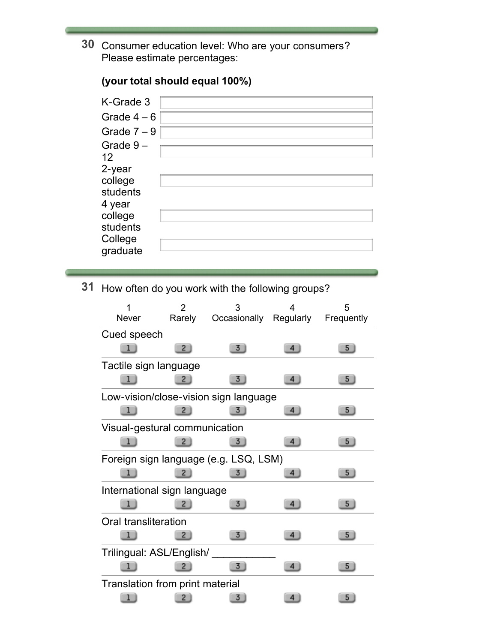**30** Consumer education level: Who are your consumers? Please estimate percentages:

# K-Grade 3 Grade  $4-6$ Grade  $7 - 9$ Grade 9 – 12 2-year college students 4 year college students College graduate

**(your total should equal 100%)**

**31** How often do you work with the following groups?

|                                 | 2            | 3                                     | 4              | 5              |
|---------------------------------|--------------|---------------------------------------|----------------|----------------|
| <b>Never</b>                    | Rarely       | Occasionally Regularly                |                | Frequently     |
| Cued speech                     |              |                                       |                |                |
|                                 | $\mathbf{2}$ | 3                                     | 4              | 5 <sub>1</sub> |
| Tactile sign language           |              |                                       |                |                |
|                                 | $^{2}$       | 3                                     | $\overline{4}$ | 5              |
|                                 |              | Low-vision/close-vision sign language |                |                |
|                                 |              | 3                                     | 4 <sup>1</sup> | 5 <sub>1</sub> |
| Visual-gestural communication   |              |                                       |                |                |
|                                 |              | 3                                     | 4 <sub>1</sub> | 5.             |
|                                 |              | Foreign sign language (e.g. LSQ, LSM) |                |                |
|                                 |              | 3.                                    | 4              | 5              |
| International sign language     |              |                                       |                |                |
|                                 |              | 3                                     | 4              | 5.             |
| <b>Oral transliteration</b>     |              |                                       |                |                |
|                                 | 2.           | 3                                     | 4              | 5              |
| Trilingual: ASL/English/        |              |                                       |                |                |
|                                 |              | 3                                     | 4              | 5              |
| Translation from print material |              |                                       |                |                |
|                                 |              | 3                                     | 4              | 5              |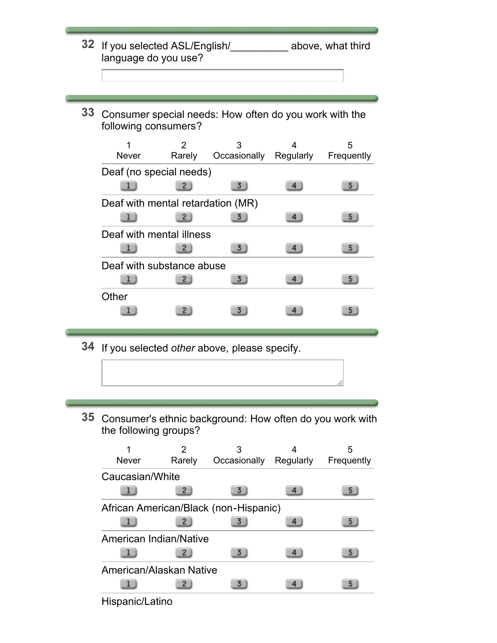- **32** If you selected ASL/English/\_\_\_\_\_\_\_\_\_\_ above, what third language do you use?
- **33** Consumer special needs: How often do you work with the following consumers?

| <b>Never</b>                      | Rarely | 3<br>Occasionally | Regularly | 5<br>Frequently |
|-----------------------------------|--------|-------------------|-----------|-----------------|
| Deaf (no special needs)           |        |                   |           |                 |
|                                   |        |                   |           | 5               |
| Deaf with mental retardation (MR) |        |                   |           |                 |
|                                   | 2      |                   |           | 5.              |
| Deaf with mental illness          |        |                   |           |                 |
|                                   |        |                   |           |                 |
| Deaf with substance abuse         |        |                   |           |                 |
|                                   |        |                   |           | 5               |
| Other                             |        |                   |           |                 |
|                                   |        |                   |           |                 |

- **34** If you selected *other* above, please specify.
- **35** Consumer's ethnic background: How often do you work with the following groups?



Hispanic/Latino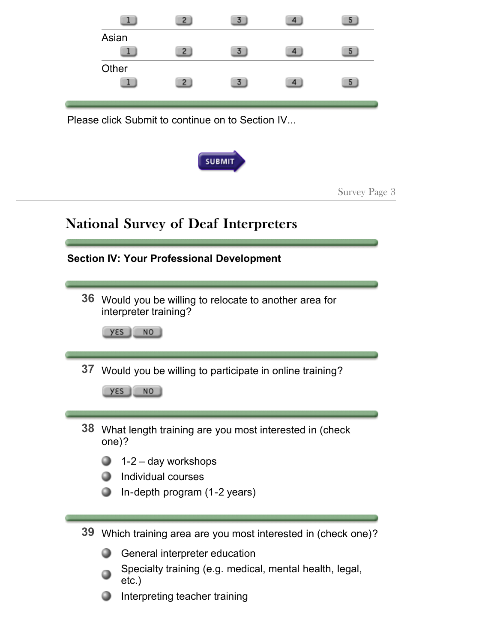|    |                                                             | $\mathbf{2}$                                       | 3             |                                                         | 5             |  |
|----|-------------------------------------------------------------|----------------------------------------------------|---------------|---------------------------------------------------------|---------------|--|
|    | Asian                                                       | $\overline{2}$                                     | 3)            | 4 <sup>1</sup>                                          | 5             |  |
|    | Other                                                       | $\mathbf{Z}$                                       | 3.            |                                                         | 5.            |  |
|    | Please click Submit to continue on to Section IV            |                                                    |               |                                                         |               |  |
|    |                                                             |                                                    | <b>SUBMIT</b> |                                                         |               |  |
|    |                                                             |                                                    |               |                                                         | Survey Page 3 |  |
|    |                                                             |                                                    |               |                                                         |               |  |
|    | <b>National Survey of Deaf Interpreters</b>                 |                                                    |               |                                                         |               |  |
|    | <b>Section IV: Your Professional Development</b>            |                                                    |               |                                                         |               |  |
|    |                                                             |                                                    |               |                                                         |               |  |
| 36 | interpreter training?                                       |                                                    |               | Would you be willing to relocate to another area for    |               |  |
|    | yεs<br>NO                                                   |                                                    |               |                                                         |               |  |
|    | 37 Would you be willing to participate in online training?  |                                                    |               |                                                         |               |  |
|    | yεs<br>NO                                                   |                                                    |               |                                                         |               |  |
|    |                                                             |                                                    |               |                                                         |               |  |
| 38 | one)?                                                       |                                                    |               | What length training are you most interested in (check  |               |  |
|    |                                                             | $1-2$ – day workshops                              |               |                                                         |               |  |
|    |                                                             | Individual courses<br>In-depth program (1-2 years) |               |                                                         |               |  |
|    |                                                             |                                                    |               |                                                         |               |  |
| 39 | Which training area are you most interested in (check one)? |                                                    |               |                                                         |               |  |
|    |                                                             | General interpreter education                      |               |                                                         |               |  |
|    | $etc.$ )                                                    |                                                    |               | Specialty training (e.g. medical, mental health, legal, |               |  |
|    |                                                             | Interpreting teacher training                      |               |                                                         |               |  |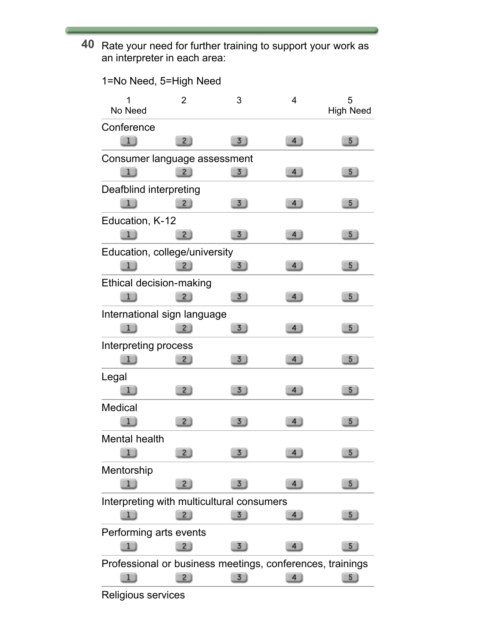**40** Rate your need for further training to support your work as an interpreter in each area:

| 1=No Need, 5=High Need                                    |                |                |                     |                       |
|-----------------------------------------------------------|----------------|----------------|---------------------|-----------------------|
| No Need                                                   | 2              | 3              | 4                   | 5<br><b>High Need</b> |
| Conference                                                |                |                |                     |                       |
|                                                           | $\mathbf{2}$   | 3)             | 4                   | 5 <sub>1</sub>        |
| Consumer language assessment                              |                |                |                     |                       |
|                                                           | $\mathbf{2}$   | 3              | 4                   | 5 <sub>2</sub>        |
| Deafblind interpreting                                    |                |                |                     |                       |
| 1                                                         | $\overline{2}$ | 3              | $\left  4 \right $  | 5                     |
| Education, K-12                                           |                |                |                     |                       |
|                                                           | 2.             | 3              | 4 <sup>1</sup>      | 5                     |
| Education, college/university                             |                |                |                     |                       |
|                                                           |                | $\overline{3}$ | $\overline{4}$      | 5 <sub>2</sub>        |
| <b>Ethical decision-making</b>                            |                |                |                     |                       |
|                                                           | $\overline{2}$ | 3              | 4                   | 5 <sub>1</sub>        |
| International sign language                               |                |                |                     |                       |
|                                                           | 2 <sub>1</sub> | 3              | 4                   | 5 <sub>1</sub>        |
| Interpreting process                                      |                |                |                     |                       |
| 1 J                                                       | $\sqrt{2}$     | 3)             | 4                   | 5 <sub>2</sub>        |
| Legal                                                     |                |                |                     |                       |
|                                                           | 2              | 3)             | 4                   | 5 <sub>1</sub>        |
| <b>Medical</b>                                            |                |                |                     |                       |
|                                                           | $\overline{2}$ | 3              | 4                   | 5 <sub>1</sub>        |
| Mental health                                             |                |                |                     |                       |
|                                                           | $2 \}$         | 3 <sub>1</sub> | $4 \nightharpoonup$ | 5 <sub>1</sub>        |
| Mentorship                                                |                |                |                     |                       |
| 11                                                        | $2 \;$         | 3              | 4 <sub>1</sub>      | 5 <sub>2</sub>        |
| Interpreting with multicultural consumers                 |                |                |                     |                       |
|                                                           | $2 \;$         | 3              | $\overline{4}$      | 5                     |
| Performing arts events                                    |                |                |                     |                       |
|                                                           | $^{2}$         | 3 <sub>1</sub> |                     | 5                     |
| Professional or business meetings, conferences, trainings |                |                |                     |                       |
| 11                                                        | $\overline{2}$ | 3              | $\overline{4}$      | 5 <sub>o</sub>        |

Religious services